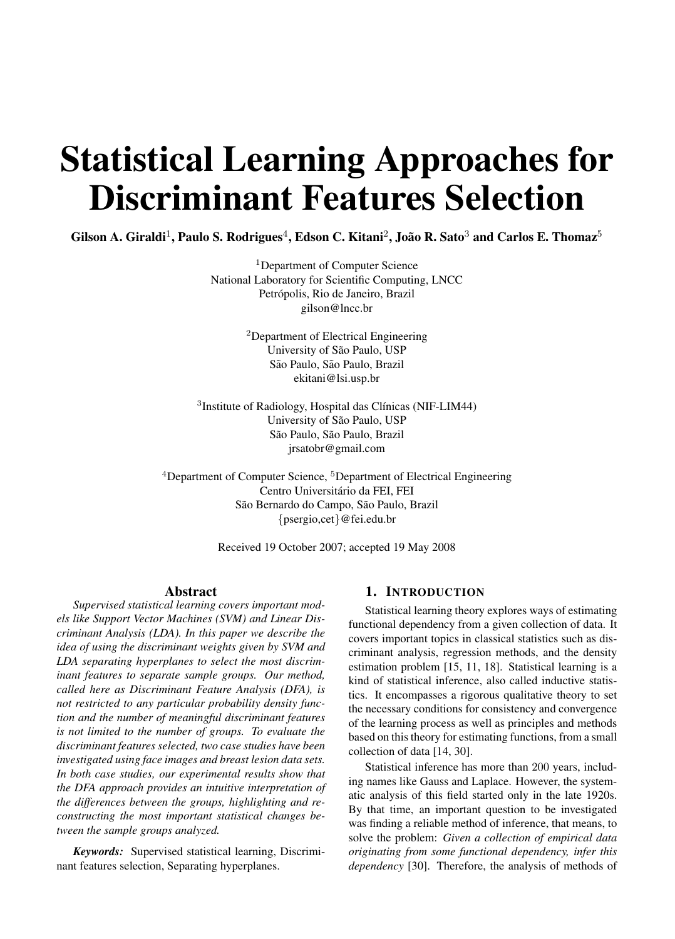# Statistical Learning Approaches for Discriminant Features Selection

Gilson A. Giraldi<sup>1</sup>, Paulo S. Rodrigues<sup>4</sup>, Edson C. Kitani<sup>2</sup>, João R. Sato<sup>3</sup> and Carlos E. Thomaz<sup>5</sup>

<sup>1</sup>Department of Computer Science National Laboratory for Scientific Computing, LNCC Petrópolis, Rio de Janeiro, Brazil gilson@lncc.br

> <sup>2</sup>Department of Electrical Engineering University of São Paulo, USP São Paulo, São Paulo, Brazil ekitani@lsi.usp.br

 $3$ Institute of Radiology, Hospital das Clínicas (NIF-LIM44) University of São Paulo, USP São Paulo, São Paulo, Brazil jrsatobr@gmail.com

<sup>4</sup>Department of Computer Science, <sup>5</sup>Department of Electrical Engineering Centro Universitario da FEI, FEI ´ São Bernardo do Campo, São Paulo, Brazil {psergio,cet}@fei.edu.br

Received 19 October 2007; accepted 19 May 2008

## Abstract

*Supervised statistical learning covers important models like Support Vector Machines (SVM) and Linear Discriminant Analysis (LDA). In this paper we describe the idea of using the discriminant weights given by SVM and LDA separating hyperplanes to select the most discriminant features to separate sample groups. Our method, called here as Discriminant Feature Analysis (DFA), is not restricted to any particular probability density function and the number of meaningful discriminant features is not limited to the number of groups. To evaluate the discriminant features selected, two case studies have been investigated using face images and breast lesion data sets. In both case studies, our experimental results show that the DFA approach provides an intuitive interpretation of the differences between the groups, highlighting and reconstructing the most important statistical changes between the sample groups analyzed.*

*Keywords:* Supervised statistical learning, Discriminant features selection, Separating hyperplanes.

## 1. INTRODUCTION

Statistical learning theory explores ways of estimating functional dependency from a given collection of data. It covers important topics in classical statistics such as discriminant analysis, regression methods, and the density estimation problem [15, 11, 18]. Statistical learning is a kind of statistical inference, also called inductive statistics. It encompasses a rigorous qualitative theory to set the necessary conditions for consistency and convergence of the learning process as well as principles and methods based on this theory for estimating functions, from a small collection of data [14, 30].

Statistical inference has more than 200 years, including names like Gauss and Laplace. However, the systematic analysis of this field started only in the late 1920s. By that time, an important question to be investigated was finding a reliable method of inference, that means, to solve the problem: *Given a collection of empirical data originating from some functional dependency, infer this dependency* [30]. Therefore, the analysis of methods of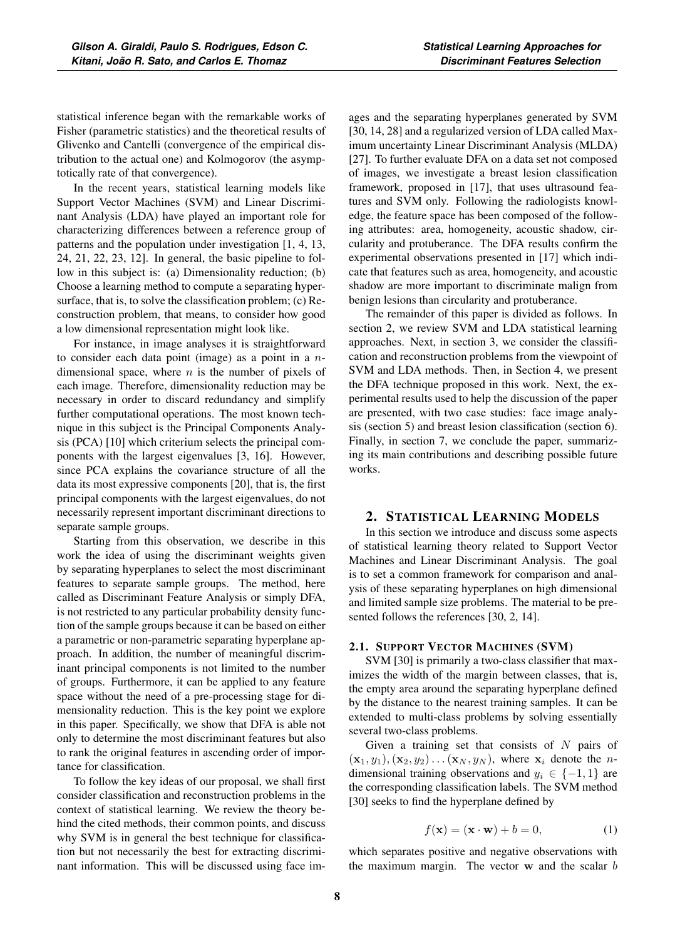statistical inference began with the remarkable works of Fisher (parametric statistics) and the theoretical results of Glivenko and Cantelli (convergence of the empirical distribution to the actual one) and Kolmogorov (the asymptotically rate of that convergence).

In the recent years, statistical learning models like Support Vector Machines (SVM) and Linear Discriminant Analysis (LDA) have played an important role for characterizing differences between a reference group of patterns and the population under investigation [1, 4, 13, 24, 21, 22, 23, 12]. In general, the basic pipeline to follow in this subject is: (a) Dimensionality reduction; (b) Choose a learning method to compute a separating hypersurface, that is, to solve the classification problem; (c) Reconstruction problem, that means, to consider how good a low dimensional representation might look like.

For instance, in image analyses it is straightforward to consider each data point (image) as a point in a  $n$ dimensional space, where  $n$  is the number of pixels of each image. Therefore, dimensionality reduction may be necessary in order to discard redundancy and simplify further computational operations. The most known technique in this subject is the Principal Components Analysis (PCA) [10] which criterium selects the principal components with the largest eigenvalues [3, 16]. However, since PCA explains the covariance structure of all the data its most expressive components [20], that is, the first principal components with the largest eigenvalues, do not necessarily represent important discriminant directions to separate sample groups.

Starting from this observation, we describe in this work the idea of using the discriminant weights given by separating hyperplanes to select the most discriminant features to separate sample groups. The method, here called as Discriminant Feature Analysis or simply DFA, is not restricted to any particular probability density function of the sample groups because it can be based on either a parametric or non-parametric separating hyperplane approach. In addition, the number of meaningful discriminant principal components is not limited to the number of groups. Furthermore, it can be applied to any feature space without the need of a pre-processing stage for dimensionality reduction. This is the key point we explore in this paper. Specifically, we show that DFA is able not only to determine the most discriminant features but also to rank the original features in ascending order of importance for classification.

To follow the key ideas of our proposal, we shall first consider classification and reconstruction problems in the context of statistical learning. We review the theory behind the cited methods, their common points, and discuss why SVM is in general the best technique for classification but not necessarily the best for extracting discriminant information. This will be discussed using face images and the separating hyperplanes generated by SVM [30, 14, 28] and a regularized version of LDA called Maximum uncertainty Linear Discriminant Analysis (MLDA) [27]. To further evaluate DFA on a data set not composed of images, we investigate a breast lesion classification framework, proposed in [17], that uses ultrasound features and SVM only. Following the radiologists knowledge, the feature space has been composed of the following attributes: area, homogeneity, acoustic shadow, circularity and protuberance. The DFA results confirm the experimental observations presented in [17] which indicate that features such as area, homogeneity, and acoustic shadow are more important to discriminate malign from benign lesions than circularity and protuberance.

The remainder of this paper is divided as follows. In section 2, we review SVM and LDA statistical learning approaches. Next, in section 3, we consider the classification and reconstruction problems from the viewpoint of SVM and LDA methods. Then, in Section 4, we present the DFA technique proposed in this work. Next, the experimental results used to help the discussion of the paper are presented, with two case studies: face image analysis (section 5) and breast lesion classification (section 6). Finally, in section 7, we conclude the paper, summarizing its main contributions and describing possible future works.

## 2. STATISTICAL LEARNING MODELS

In this section we introduce and discuss some aspects of statistical learning theory related to Support Vector Machines and Linear Discriminant Analysis. The goal is to set a common framework for comparison and analysis of these separating hyperplanes on high dimensional and limited sample size problems. The material to be presented follows the references [30, 2, 14].

#### 2.1. SUPPORT VECTOR MACHINES (SVM)

SVM [30] is primarily a two-class classifier that maximizes the width of the margin between classes, that is, the empty area around the separating hyperplane defined by the distance to the nearest training samples. It can be extended to multi-class problems by solving essentially several two-class problems.

Given a training set that consists of  $N$  pairs of  $(\mathbf{x}_1, y_1), (\mathbf{x}_2, y_2) \dots (\mathbf{x}_N, y_N)$ , where  $\mathbf{x}_i$  denote the *n*dimensional training observations and  $y_i \in \{-1, 1\}$  are the corresponding classification labels. The SVM method [30] seeks to find the hyperplane defined by

$$
f(\mathbf{x}) = (\mathbf{x} \cdot \mathbf{w}) + b = 0,
$$
 (1)

which separates positive and negative observations with the maximum margin. The vector **w** and the scalar b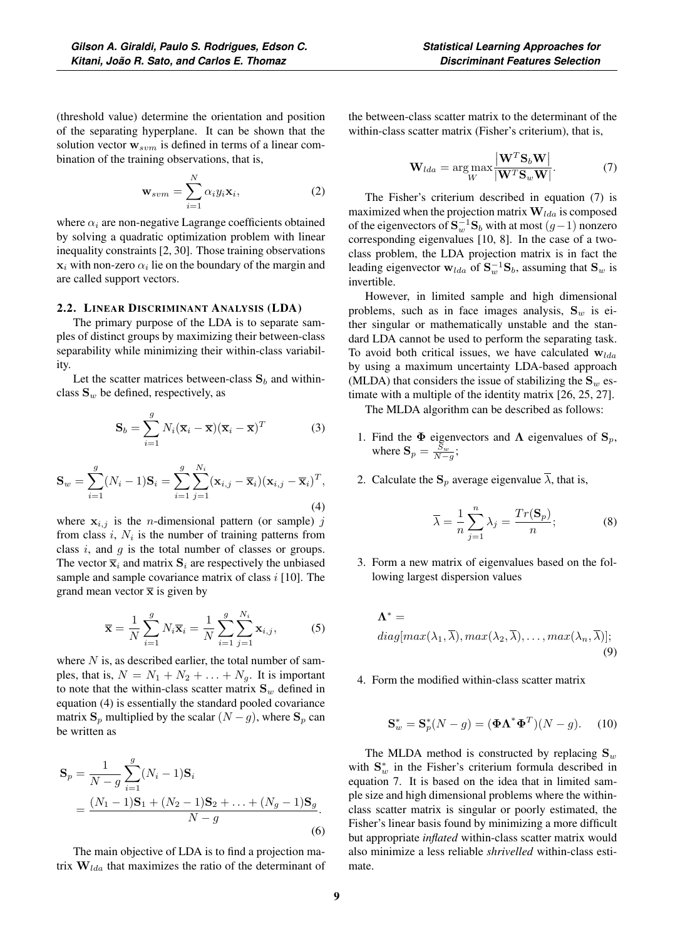(threshold value) determine the orientation and position of the separating hyperplane. It can be shown that the solution vector  $w_{sym}$  is defined in terms of a linear combination of the training observations, that is,

$$
\mathbf{w}_{sum} = \sum_{i=1}^{N} \alpha_i y_i \mathbf{x}_i, \tag{2}
$$

where  $\alpha_i$  are non-negative Lagrange coefficients obtained by solving a quadratic optimization problem with linear inequality constraints [2, 30]. Those training observations  $x_i$  with non-zero  $\alpha_i$  lie on the boundary of the margin and are called support vectors.

#### 2.2. LINEAR DISCRIMINANT ANALYSIS (LDA)

The primary purpose of the LDA is to separate samples of distinct groups by maximizing their between-class separability while minimizing their within-class variability.

Let the scatter matrices between-class  $S_b$  and withinclass  $S_w$  be defined, respectively, as

$$
\mathbf{S}_b = \sum_{i=1}^g N_i (\overline{\mathbf{x}}_i - \overline{\mathbf{x}}) (\overline{\mathbf{x}}_i - \overline{\mathbf{x}})^T
$$
 (3)

$$
\mathbf{S}_{w} = \sum_{i=1}^{g} (N_i - 1)\mathbf{S}_{i} = \sum_{i=1}^{g} \sum_{j=1}^{N_i} (\mathbf{x}_{i,j} - \overline{\mathbf{x}}_{i})(\mathbf{x}_{i,j} - \overline{\mathbf{x}}_{i})^{T},
$$
\n(4)

where  $x_{i,j}$  is the *n*-dimensional pattern (or sample) j from class  $i$ ,  $N_i$  is the number of training patterns from class  $i$ , and  $g$  is the total number of classes or groups. The vector  $\overline{\mathbf{x}}_i$  and matrix  $\mathbf{S}_i$  are respectively the unbiased sample and sample covariance matrix of class  $i$  [10]. The grand mean vector  $\bar{x}$  is given by

$$
\overline{\mathbf{x}} = \frac{1}{N} \sum_{i=1}^{g} N_i \overline{\mathbf{x}}_i = \frac{1}{N} \sum_{i=1}^{g} \sum_{j=1}^{N_i} \mathbf{x}_{i,j},
$$
 (5)

where  $N$  is, as described earlier, the total number of samples, that is,  $N = N_1 + N_2 + \ldots + N_g$ . It is important to note that the within-class scatter matrix  $S_w$  defined in equation (4) is essentially the standard pooled covariance matrix  $\mathbf{S}_p$  multiplied by the scalar  $(N - g)$ , where  $\mathbf{S}_p$  can be written as

$$
\mathbf{S}_p = \frac{1}{N - g} \sum_{i=1}^g (N_i - 1) \mathbf{S}_i
$$
  
= 
$$
\frac{(N_1 - 1)\mathbf{S}_1 + (N_2 - 1)\mathbf{S}_2 + \dots + (N_g - 1)\mathbf{S}_g}{N - g}.
$$
 (6)

The main objective of LDA is to find a projection matrix  $W_{lda}$  that maximizes the ratio of the determinant of the between-class scatter matrix to the determinant of the within-class scatter matrix (Fisher's criterium), that is,

$$
\mathbf{W}_{lda} = \arg \max_{W} \frac{|\mathbf{W}^{T} \mathbf{S}_{b} \mathbf{W}|}{|\mathbf{W}^{T} \mathbf{S}_{w} \mathbf{W}|}. \tag{7}
$$

The Fisher's criterium described in equation (7) is maximized when the projection matrix  $\mathbf{W}_{lda}$  is composed of the eigenvectors of  $S_w^{-1}S_b$  with at most  $(g-1)$  nonzero corresponding eigenvalues [10, 8]. In the case of a twoclass problem, the LDA projection matrix is in fact the leading eigenvector  $\mathbf{w}_{lda}$  of  $\mathbf{S}_w^{-1} \mathbf{S}_b$ , assuming that  $\mathbf{S}_w$  is invertible.

However, in limited sample and high dimensional problems, such as in face images analysis,  $S_w$  is either singular or mathematically unstable and the standard LDA cannot be used to perform the separating task. To avoid both critical issues, we have calculated  $w_{lda}$ by using a maximum uncertainty LDA-based approach (MLDA) that considers the issue of stabilizing the  $S_w$  estimate with a multiple of the identity matrix [26, 25, 27].

The MLDA algorithm can be described as follows:

- 1. Find the  $\Phi$  eigenvectors and  $\Lambda$  eigenvalues of  $\mathbf{S}_p$ , where  $\mathbf{S}_p = \frac{\bar{S}_w}{N-g}$ ;
- 2. Calculate the  $S_p$  average eigenvalue  $\overline{\lambda}$ , that is,

$$
\overline{\lambda} = \frac{1}{n} \sum_{j=1}^{n} \lambda_j = \frac{Tr(\mathbf{S}_p)}{n};\tag{8}
$$

3. Form a new matrix of eigenvalues based on the following largest dispersion values

$$
\Lambda^* = \underset{(3)}{\text{diag}[\max(\lambda_1, \overline{\lambda}), \max(\lambda_2, \overline{\lambda}), \dots, \max(\lambda_n, \overline{\lambda})];}
$$
\n(9)

4. Form the modified within-class scatter matrix

$$
\mathbf{S}_w^* = \mathbf{S}_p^*(N - g) = (\mathbf{\Phi}\Lambda^*\mathbf{\Phi}^T)(N - g). \quad (10)
$$

The MLDA method is constructed by replacing  $S_w$ with  $S^*_{w}$  in the Fisher's criterium formula described in equation 7. It is based on the idea that in limited sample size and high dimensional problems where the withinclass scatter matrix is singular or poorly estimated, the Fisher's linear basis found by minimizing a more difficult but appropriate *inflated* within-class scatter matrix would also minimize a less reliable *shrivelled* within-class estimate.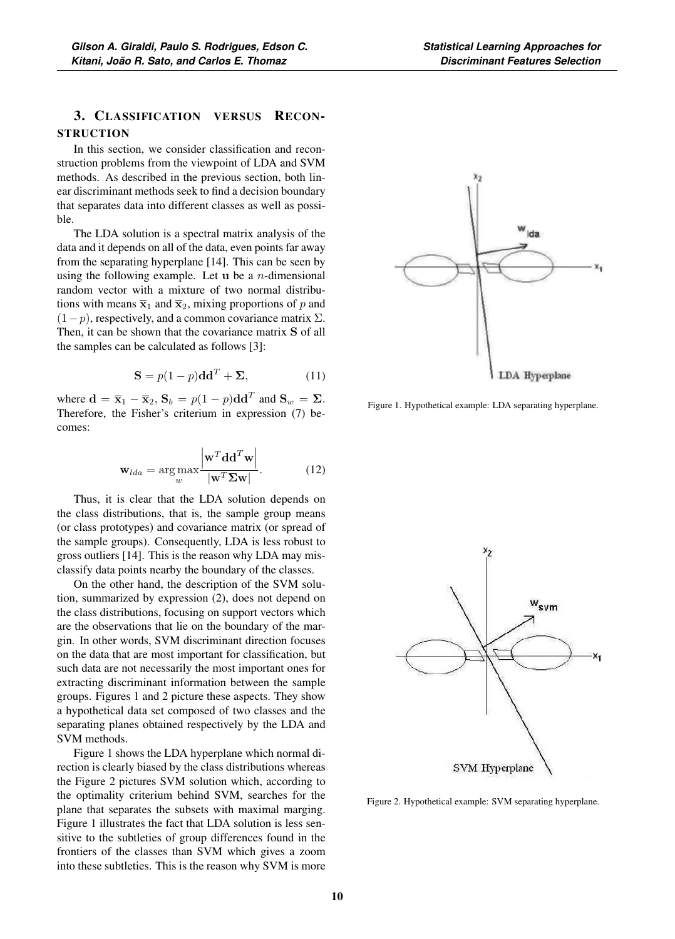# 3. CLASSIFICATION VERSUS RECON-**STRUCTION**

In this section, we consider classification and reconstruction problems from the viewpoint of LDA and SVM methods. As described in the previous section, both linear discriminant methods seek to find a decision boundary that separates data into different classes as well as possible.

The LDA solution is a spectral matrix analysis of the data and it depends on all of the data, even points far away from the separating hyperplane [14]. This can be seen by using the following example. Let **u** be a n-dimensional random vector with a mixture of two normal distributions with means  $\overline{\mathbf{x}}_1$  and  $\overline{\mathbf{x}}_2$ , mixing proportions of p and  $(1-p)$ , respectively, and a common covariance matrix  $\Sigma$ . Then, it can be shown that the covariance matrix **S** of all the samples can be calculated as follows [3]:

$$
\mathbf{S} = p(1-p)\mathbf{d}\mathbf{d}^T + \Sigma,
$$
 (11)

where  $\mathbf{d} = \overline{\mathbf{x}}_1 - \overline{\mathbf{x}}_2$ ,  $\mathbf{S}_b = p(1-p)\mathbf{d}\mathbf{d}^T$  and  $\mathbf{S}_w = \Sigma$ . Therefore, the Fisher's criterium in expression (7) becomes:

$$
\mathbf{w}_{lda} = \arg \max_{w} \frac{\left| \mathbf{w}^{T} \mathbf{dd}^{T} \mathbf{w} \right|}{\left| \mathbf{w}^{T} \mathbf{\Sigma} \mathbf{w} \right|}. \tag{12}
$$

Thus, it is clear that the LDA solution depends on the class distributions, that is, the sample group means (or class prototypes) and covariance matrix (or spread of the sample groups). Consequently, LDA is less robust to gross outliers [14]. This is the reason why LDA may misclassify data points nearby the boundary of the classes.

On the other hand, the description of the SVM solution, summarized by expression (2), does not depend on the class distributions, focusing on support vectors which are the observations that lie on the boundary of the margin. In other words, SVM discriminant direction focuses on the data that are most important for classification, but such data are not necessarily the most important ones for extracting discriminant information between the sample groups. Figures 1 and 2 picture these aspects. They show a hypothetical data set composed of two classes and the separating planes obtained respectively by the LDA and SVM methods.

Figure 1 shows the LDA hyperplane which normal direction is clearly biased by the class distributions whereas the Figure 2 pictures SVM solution which, according to the optimality criterium behind SVM, searches for the plane that separates the subsets with maximal marging. Figure 1 illustrates the fact that LDA solution is less sensitive to the subtleties of group differences found in the frontiers of the classes than SVM which gives a zoom into these subtleties. This is the reason why SVM is more



Figure 1. Hypothetical example: LDA separating hyperplane.



Figure 2. Hypothetical example: SVM separating hyperplane.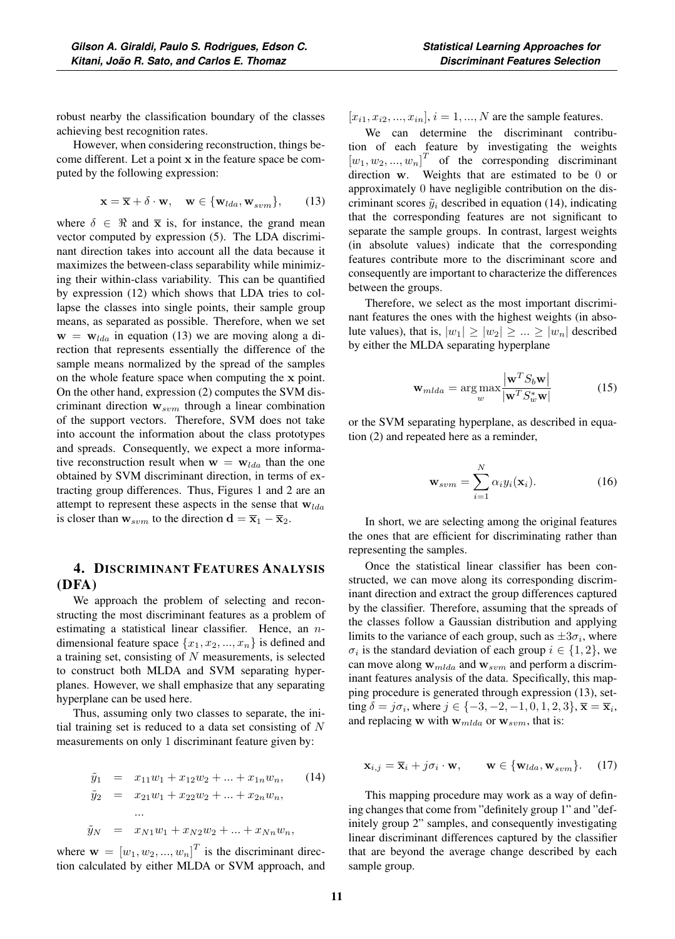robust nearby the classification boundary of the classes achieving best recognition rates.

However, when considering reconstruction, things become different. Let a point **x** in the feature space be computed by the following expression:

$$
\mathbf{x} = \overline{\mathbf{x}} + \delta \cdot \mathbf{w}, \quad \mathbf{w} \in \{\mathbf{w}_{lda}, \mathbf{w}_{sym}\},\qquad(13)
$$

where  $\delta \in \Re$  and  $\bar{x}$  is, for instance, the grand mean vector computed by expression (5). The LDA discriminant direction takes into account all the data because it maximizes the between-class separability while minimizing their within-class variability. This can be quantified by expression (12) which shows that LDA tries to collapse the classes into single points, their sample group means, as separated as possible. Therefore, when we set  $\mathbf{w} = \mathbf{w}_{lda}$  in equation (13) we are moving along a direction that represents essentially the difference of the sample means normalized by the spread of the samples on the whole feature space when computing the **x** point. On the other hand, expression (2) computes the SVM discriminant direction  $w_{sym}$  through a linear combination of the support vectors. Therefore, SVM does not take into account the information about the class prototypes and spreads. Consequently, we expect a more informative reconstruction result when  $\mathbf{w} = \mathbf{w}_{lda}$  than the one obtained by SVM discriminant direction, in terms of extracting group differences. Thus, Figures 1 and 2 are an attempt to represent these aspects in the sense that  $w_{lda}$ is closer than  $\mathbf{w}_{sym}$  to the direction  $\mathbf{d} = \overline{\mathbf{x}}_1 - \overline{\mathbf{x}}_2$ .

# 4. DISCRIMINANT FEATURES ANALYSIS (DFA)

We approach the problem of selecting and reconstructing the most discriminant features as a problem of estimating a statistical linear classifier. Hence, an ndimensional feature space  $\{x_1, x_2, ..., x_n\}$  is defined and a training set, consisting of  $N$  measurements, is selected to construct both MLDA and SVM separating hyperplanes. However, we shall emphasize that any separating hyperplane can be used here.

Thus, assuming only two classes to separate, the initial training set is reduced to a data set consisting of  $N$ measurements on only 1 discriminant feature given by:

$$
\tilde{y}_1 = x_{11}w_1 + x_{12}w_2 + \dots + x_{1n}w_n, \qquad (14)
$$
  
\n
$$
\tilde{y}_2 = x_{21}w_1 + x_{22}w_2 + \dots + x_{2n}w_n,
$$
  
\n...  
\n
$$
\tilde{y}_N = x_{N1}w_1 + x_{N2}w_2 + \dots + x_{Nn}w_n,
$$

where  $\mathbf{w} = [w_1, w_2, ..., w_n]^T$  is the discriminant direc-<br>tion calculated by either MI DA or SVM approach and tion calculated by either MLDA or SVM approach, and  $[x_{i1}, x_{i2}, ..., x_{in}], i = 1, ..., N$  are the sample features.

We can determine the discriminant contribution of each feature by investigating the weights  $[w_1, w_2, ..., w_n]^T$  of the corresponding discriminant<br>direction w. Weights that are estimated to be 0 or direction **w**. Weights that are estimated to be 0 or<br>approximately 0 have pegligible contribution on the disapproximately 0 have negligible contribution on the discriminant scores  $\tilde{y}_i$  described in equation (14), indicating that the corresponding features are not significant to separate the sample groups. In contrast, largest weights (in absolute values) indicate that the corresponding features contribute more to the discriminant score and consequently are important to characterize the differences between the groups.

Therefore, we select as the most important discriminant features the ones with the highest weights (in absolute values), that is,  $|w_1| \ge |w_2| \ge ... \ge |w_n|$  described by either the MLDA separating hyperplane

$$
\mathbf{w}_{mlda} = \arg \max_{w} \frac{|\mathbf{w}^T S_b \mathbf{w}|}{|\mathbf{w}^T S_w^* \mathbf{w}|}
$$
(15)

or the SVM separating hyperplane, as described in equation (2) and repeated here as a reminder,

$$
\mathbf{w}_{sum} = \sum_{i=1}^{N} \alpha_i y_i(\mathbf{x}_i).
$$
 (16)

In short, we are selecting among the original features the ones that are efficient for discriminating rather than representing the samples.

Once the statistical linear classifier has been constructed, we can move along its corresponding discriminant direction and extract the group differences captured by the classifier. Therefore, assuming that the spreads of the classes follow a Gaussian distribution and applying limits to the variance of each group, such as  $\pm 3\sigma_i$ , where  $\sigma_i$  is the standard deviation of each group  $i \in \{1, 2\}$ , we can move along  $w_{mlda}$  and  $w_{sym}$  and perform a discriminant features analysis of the data. Specifically, this mapping procedure is generated through expression (13), setting  $\delta = j\sigma_i$ , where  $j \in \{-3, -2, -1, 0, 1, 2, 3\}$ ,  $\bar{\mathbf{x}} = \bar{\mathbf{x}}_i$ , and replacing **w** with  $\mathbf{w}_{mlda}$  or  $\mathbf{w}_{sum}$ , that is:

$$
\mathbf{x}_{i,j} = \overline{\mathbf{x}}_i + j\sigma_i \cdot \mathbf{w}, \qquad \mathbf{w} \in \{\mathbf{w}_{lda}, \mathbf{w}_{sym}\}. \tag{17}
$$

This mapping procedure may work as a way of defining changes that come from "definitely group 1" and "definitely group 2" samples, and consequently investigating linear discriminant differences captured by the classifier that are beyond the average change described by each sample group.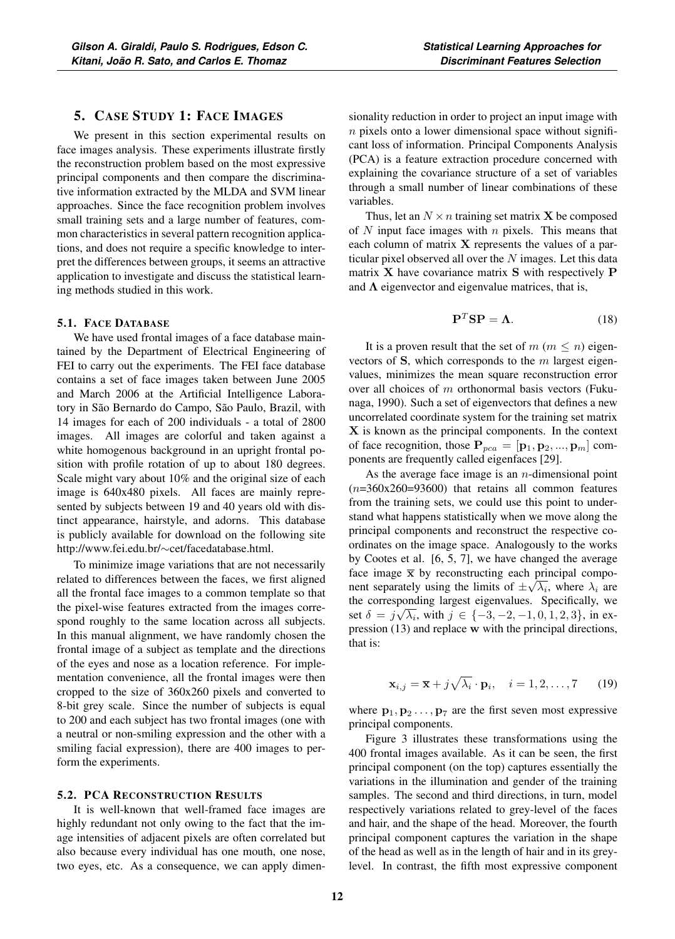# 5. CASE STUDY 1: FACE IMAGES

We present in this section experimental results on face images analysis. These experiments illustrate firstly the reconstruction problem based on the most expressive principal components and then compare the discriminative information extracted by the MLDA and SVM linear approaches. Since the face recognition problem involves small training sets and a large number of features, common characteristics in several pattern recognition applications, and does not require a specific knowledge to interpret the differences between groups, it seems an attractive application to investigate and discuss the statistical learning methods studied in this work.

#### 5.1. FACE DATABASE

We have used frontal images of a face database maintained by the Department of Electrical Engineering of FEI to carry out the experiments. The FEI face database contains a set of face images taken between June 2005 and March 2006 at the Artificial Intelligence Laboratory in São Bernardo do Campo, São Paulo, Brazil, with 14 images for each of 200 individuals - a total of 2800 images. All images are colorful and taken against a white homogenous background in an upright frontal position with profile rotation of up to about 180 degrees. Scale might vary about 10% and the original size of each image is 640x480 pixels. All faces are mainly represented by subjects between 19 and 40 years old with distinct appearance, hairstyle, and adorns. This database is publicly available for download on the following site http://www.fei.edu.br/∼cet/facedatabase.html.

To minimize image variations that are not necessarily related to differences between the faces, we first aligned all the frontal face images to a common template so that the pixel-wise features extracted from the images correspond roughly to the same location across all subjects. In this manual alignment, we have randomly chosen the frontal image of a subject as template and the directions of the eyes and nose as a location reference. For implementation convenience, all the frontal images were then cropped to the size of 360x260 pixels and converted to 8-bit grey scale. Since the number of subjects is equal to 200 and each subject has two frontal images (one with a neutral or non-smiling expression and the other with a smiling facial expression), there are 400 images to perform the experiments.

## 5.2. PCA RECONSTRUCTION RESULTS

It is well-known that well-framed face images are highly redundant not only owing to the fact that the image intensities of adjacent pixels are often correlated but also because every individual has one mouth, one nose, two eyes, etc. As a consequence, we can apply dimensionality reduction in order to project an input image with  $n$  pixels onto a lower dimensional space without significant loss of information. Principal Components Analysis (PCA) is a feature extraction procedure concerned with explaining the covariance structure of a set of variables through a small number of linear combinations of these variables.

Thus, let an  $N \times n$  training set matrix **X** be composed of N input face images with  $n$  pixels. This means that each column of matrix **X** represents the values of a particular pixel observed all over the  $N$  images. Let this data matrix **X** have covariance matrix **S** with respectively **P** and  $\Lambda$  eigenvector and eigenvalue matrices, that is,

$$
\mathbf{P}^T \mathbf{S} \mathbf{P} = \mathbf{\Lambda}.\tag{18}
$$

It is a proven result that the set of  $m$  ( $m \leq n$ ) eigenvectors of **S**, which corresponds to the m largest eigenvalues, minimizes the mean square reconstruction error over all choices of m orthonormal basis vectors (Fukunaga, 1990). Such a set of eigenvectors that defines a new uncorrelated coordinate system for the training set matrix **X** is known as the principal components. In the context of face recognition, those  $P_{pca} = [\mathbf{p}_1, \mathbf{p}_2, ..., \mathbf{p}_m]$  components are frequently called eigenfaces [29].

As the average face image is an  $n$ -dimensional point  $(n=360x260=93600)$  that retains all common features from the training sets, we could use this point to understand what happens statistically when we move along the principal components and reconstruct the respective coordinates on the image space. Analogously to the works by Cootes et al. [6, 5, 7], we have changed the average face image  $\bar{x}$  by reconstructing each principal component separately using the limits of  $\pm\sqrt{\lambda_i}$ , where  $\lambda_i$  are the corresponding largest eigenvalues. Specifically, we set  $\delta = j\sqrt{\lambda_i}$ , with  $j \in \{-3, -2, -1, 0, 1, 2, 3\}$ , in ex-<br>pression (13) and replace w with the principal directions pression (13) and replace **w** with the principal directions, that is:

$$
\mathbf{x}_{i,j} = \overline{\mathbf{x}} + j\sqrt{\lambda_i} \cdot \mathbf{p}_i, \quad i = 1, 2, \dots, 7 \quad (19)
$$

where  $\mathbf{p}_1, \mathbf{p}_2, \dots, \mathbf{p}_7$  are the first seven most expressive principal components.

Figure 3 illustrates these transformations using the 400 frontal images available. As it can be seen, the first principal component (on the top) captures essentially the variations in the illumination and gender of the training samples. The second and third directions, in turn, model respectively variations related to grey-level of the faces and hair, and the shape of the head. Moreover, the fourth principal component captures the variation in the shape of the head as well as in the length of hair and in its greylevel. In contrast, the fifth most expressive component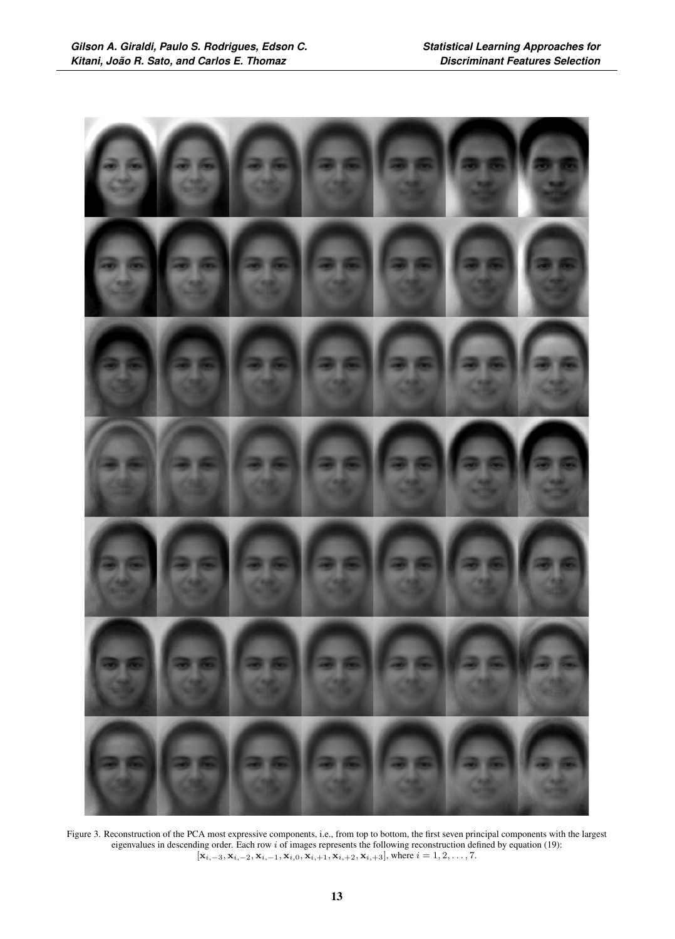

Figure 3. Reconstruction of the PCA most expressive components, i.e., from top to bottom, the first seven principal components with the largest eigenvalues in descending order. Each row  $i$  of images represents the following reconstruction defined by equation (19):  $[\mathbf{x}_{i,-3}, \mathbf{x}_{i,-2}, \mathbf{x}_{i,-1}, \mathbf{x}_{i,0}, \mathbf{x}_{i,+1}, \mathbf{x}_{i,+2}, \mathbf{x}_{i,+3}]$ , where  $i = 1, 2, ..., 7$ .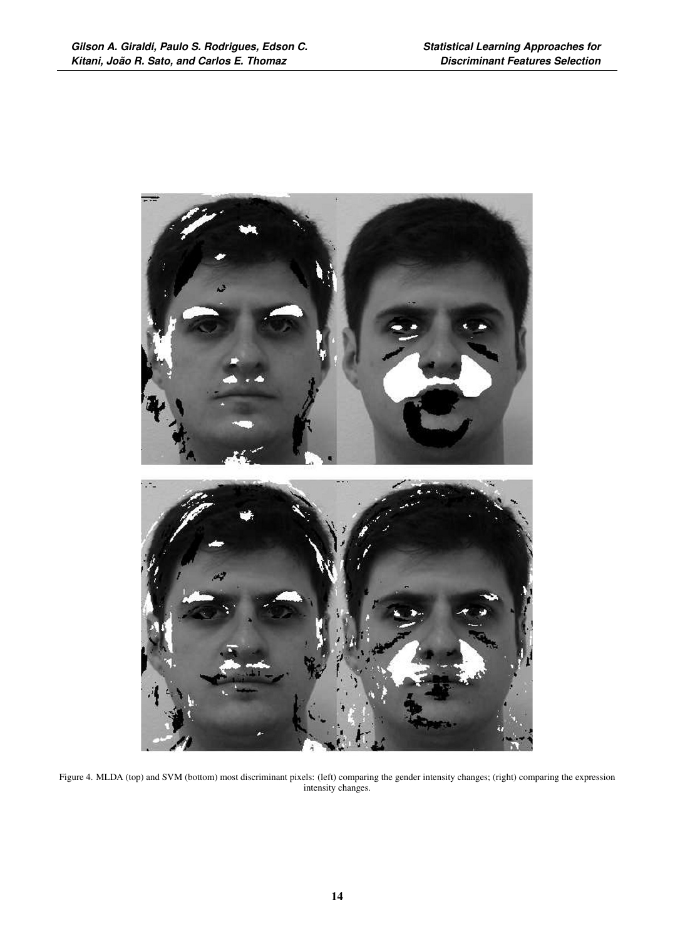

Figure 4. MLDA (top) and SVM (bottom) most discriminant pixels: (left) comparing the gender intensity changes; (right) comparing the expression intensity changes.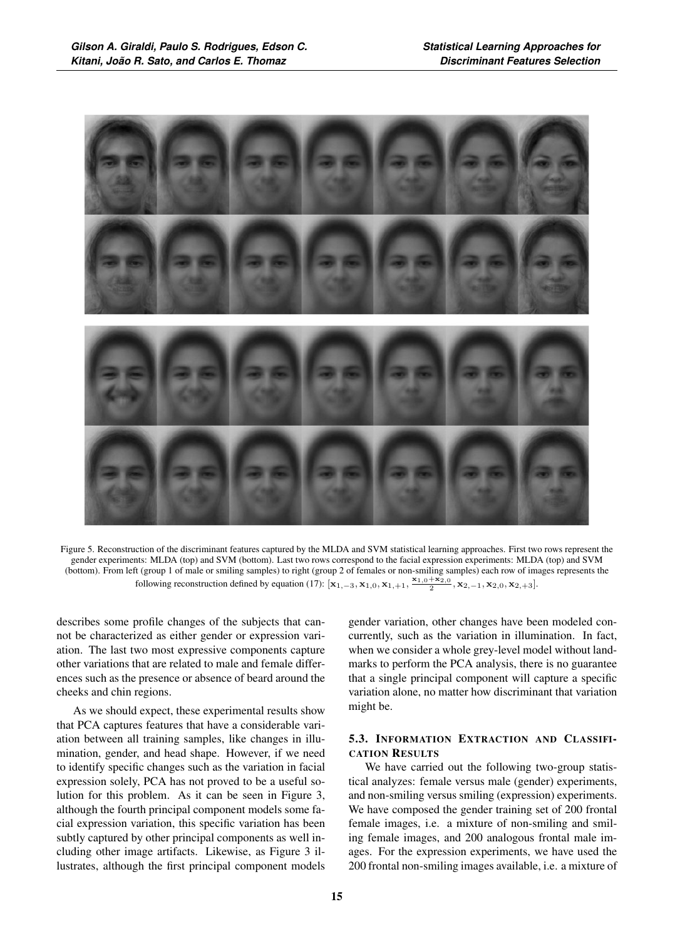

Figure 5. Reconstruction of the discriminant features captured by the MLDA and SVM statistical learning approaches. First two rows represent the gender experiments: MLDA (top) and SVM (bottom). Last two rows correspond to the facial expression experiments: MLDA (top) and SVM (bottom). From left (group 1 of male or smiling samples) to right (group 2 of females or non-smiling samples) each row of images represents the following reconstruction defined by equation (17):  $[\mathbf{x}_{1,-3}, \mathbf{x}_{1,0}, \mathbf{x}_{1,+1}, \frac{\mathbf{x}_{1,0} + \mathbf{x}_{2,0}}{2}, \mathbf{x}_{2,-1}, \mathbf{x}_{2,0}, \mathbf{x}_{2,+3}]$ .

describes some profile changes of the subjects that cannot be characterized as either gender or expression variation. The last two most expressive components capture other variations that are related to male and female differences such as the presence or absence of beard around the cheeks and chin regions.

As we should expect, these experimental results show that PCA captures features that have a considerable variation between all training samples, like changes in illumination, gender, and head shape. However, if we need to identify specific changes such as the variation in facial expression solely, PCA has not proved to be a useful solution for this problem. As it can be seen in Figure 3, although the fourth principal component models some facial expression variation, this specific variation has been subtly captured by other principal components as well including other image artifacts. Likewise, as Figure 3 illustrates, although the first principal component models

gender variation, other changes have been modeled concurrently, such as the variation in illumination. In fact, when we consider a whole grey-level model without landmarks to perform the PCA analysis, there is no guarantee that a single principal component will capture a specific variation alone, no matter how discriminant that variation might be.

## 5.3. INFORMATION EXTRACTION AND CLASSIFI-CATION RESULTS

We have carried out the following two-group statistical analyzes: female versus male (gender) experiments, and non-smiling versus smiling (expression) experiments. We have composed the gender training set of 200 frontal female images, i.e. a mixture of non-smiling and smiling female images, and 200 analogous frontal male images. For the expression experiments, we have used the 200 frontal non-smiling images available, i.e. a mixture of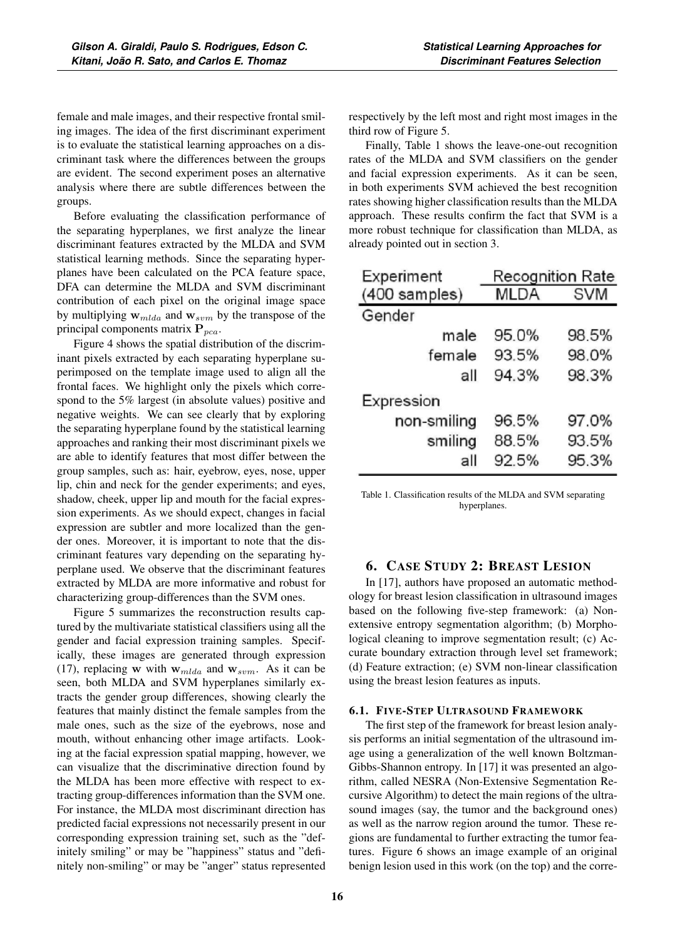female and male images, and their respective frontal smiling images. The idea of the first discriminant experiment is to evaluate the statistical learning approaches on a discriminant task where the differences between the groups are evident. The second experiment poses an alternative analysis where there are subtle differences between the groups.

Before evaluating the classification performance of the separating hyperplanes, we first analyze the linear discriminant features extracted by the MLDA and SVM statistical learning methods. Since the separating hyperplanes have been calculated on the PCA feature space, DFA can determine the MLDA and SVM discriminant contribution of each pixel on the original image space by multiplying  $w_{mlda}$  and  $w_{sym}$  by the transpose of the principal components matrix  $P_{pca}$ .

Figure 4 shows the spatial distribution of the discriminant pixels extracted by each separating hyperplane superimposed on the template image used to align all the frontal faces. We highlight only the pixels which correspond to the 5% largest (in absolute values) positive and negative weights. We can see clearly that by exploring the separating hyperplane found by the statistical learning approaches and ranking their most discriminant pixels we are able to identify features that most differ between the group samples, such as: hair, eyebrow, eyes, nose, upper lip, chin and neck for the gender experiments; and eyes, shadow, cheek, upper lip and mouth for the facial expression experiments. As we should expect, changes in facial expression are subtler and more localized than the gender ones. Moreover, it is important to note that the discriminant features vary depending on the separating hyperplane used. We observe that the discriminant features extracted by MLDA are more informative and robust for characterizing group-differences than the SVM ones.

Figure 5 summarizes the reconstruction results captured by the multivariate statistical classifiers using all the gender and facial expression training samples. Specifically, these images are generated through expression (17), replacing **w** with  $w_{mlda}$  and  $w_{sym}$ . As it can be seen, both MLDA and SVM hyperplanes similarly extracts the gender group differences, showing clearly the features that mainly distinct the female samples from the male ones, such as the size of the eyebrows, nose and mouth, without enhancing other image artifacts. Looking at the facial expression spatial mapping, however, we can visualize that the discriminative direction found by the MLDA has been more effective with respect to extracting group-differences information than the SVM one. For instance, the MLDA most discriminant direction has predicted facial expressions not necessarily present in our corresponding expression training set, such as the "definitely smiling" or may be "happiness" status and "definitely non-smiling" or may be "anger" status represented

respectively by the left most and right most images in the third row of Figure 5.

Finally, Table 1 shows the leave-one-out recognition rates of the MLDA and SVM classifiers on the gender and facial expression experiments. As it can be seen, in both experiments SVM achieved the best recognition rates showing higher classification results than the MLDA approach. These results confirm the fact that SVM is a more robust technique for classification than MLDA, as already pointed out in section 3.

| Experiment    | <b>Recognition Rate</b> |            |
|---------------|-------------------------|------------|
| (400 samples) | <b>MLDA</b>             | <b>SVM</b> |
| Gender        |                         |            |
| male          | 95.0%                   | 98.5%      |
| female        | 93.5%                   | 98.0%      |
| all           | 94.3%                   | 98.3%      |
| Expression    |                         |            |
| non-smiling   | 96.5%                   | 97.0%      |
| smiling       | 88.5%                   | 93.5%      |
| all           | 92.5%                   | 95.3%      |

Table 1. Classification results of the MLDA and SVM separating hyperplanes.

## 6. CASE STUDY 2: BREAST LESION

In [17], authors have proposed an automatic methodology for breast lesion classification in ultrasound images based on the following five-step framework: (a) Nonextensive entropy segmentation algorithm; (b) Morphological cleaning to improve segmentation result; (c) Accurate boundary extraction through level set framework; (d) Feature extraction; (e) SVM non-linear classification using the breast lesion features as inputs.

#### 6.1. FIVE-STEP ULTRASOUND FRAMEWORK

The first step of the framework for breast lesion analysis performs an initial segmentation of the ultrasound image using a generalization of the well known Boltzman-Gibbs-Shannon entropy. In [17] it was presented an algorithm, called NESRA (Non-Extensive Segmentation Recursive Algorithm) to detect the main regions of the ultrasound images (say, the tumor and the background ones) as well as the narrow region around the tumor. These regions are fundamental to further extracting the tumor features. Figure 6 shows an image example of an original benign lesion used in this work (on the top) and the corre-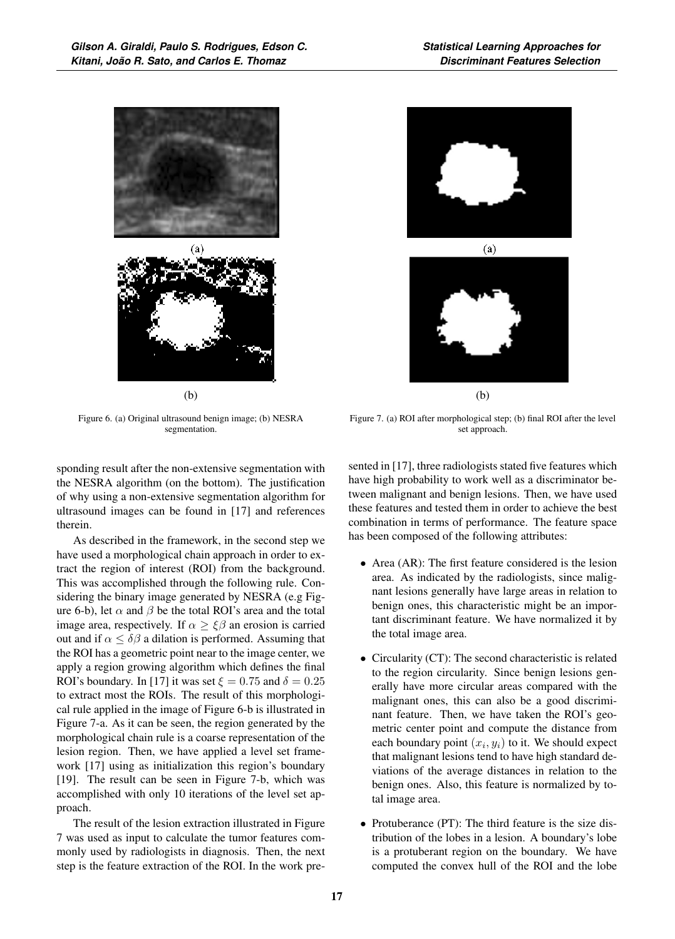

(b)

Figure 6. (a) Original ultrasound benign image; (b) NESRA segmentation.

sponding result after the non-extensive segmentation with the NESRA algorithm (on the bottom). The justification of why using a non-extensive segmentation algorithm for ultrasound images can be found in [17] and references therein.

As described in the framework, in the second step we have used a morphological chain approach in order to extract the region of interest (ROI) from the background. This was accomplished through the following rule. Considering the binary image generated by NESRA (e.g Figure 6-b), let  $\alpha$  and  $\beta$  be the total ROI's area and the total image area, respectively. If  $\alpha \geq \xi \beta$  an erosion is carried out and if  $\alpha \leq \delta \beta$  a dilation is performed. Assuming that the ROI has a geometric point near to the image center, we apply a region growing algorithm which defines the final ROI's boundary. In [17] it was set  $\xi = 0.75$  and  $\delta = 0.25$ to extract most the ROIs. The result of this morphological rule applied in the image of Figure 6-b is illustrated in Figure 7-a. As it can be seen, the region generated by the morphological chain rule is a coarse representation of the lesion region. Then, we have applied a level set framework [17] using as initialization this region's boundary [19]. The result can be seen in Figure 7-b, which was accomplished with only 10 iterations of the level set approach.

The result of the lesion extraction illustrated in Figure 7 was used as input to calculate the tumor features commonly used by radiologists in diagnosis. Then, the next step is the feature extraction of the ROI. In the work pre-





(b)

Figure 7. (a) ROI after morphological step; (b) final ROI after the level set approach.

sented in [17], three radiologists stated five features which have high probability to work well as a discriminator between malignant and benign lesions. Then, we have used these features and tested them in order to achieve the best combination in terms of performance. The feature space has been composed of the following attributes:

- Area (AR): The first feature considered is the lesion area. As indicated by the radiologists, since malignant lesions generally have large areas in relation to benign ones, this characteristic might be an important discriminant feature. We have normalized it by the total image area.
- Circularity (CT): The second characteristic is related to the region circularity. Since benign lesions generally have more circular areas compared with the malignant ones, this can also be a good discriminant feature. Then, we have taken the ROI's geometric center point and compute the distance from each boundary point  $(x_i, y_i)$  to it. We should expect that malignant lesions tend to have high standard deviations of the average distances in relation to the benign ones. Also, this feature is normalized by total image area.
- Protuberance (PT): The third feature is the size distribution of the lobes in a lesion. A boundary's lobe is a protuberant region on the boundary. We have computed the convex hull of the ROI and the lobe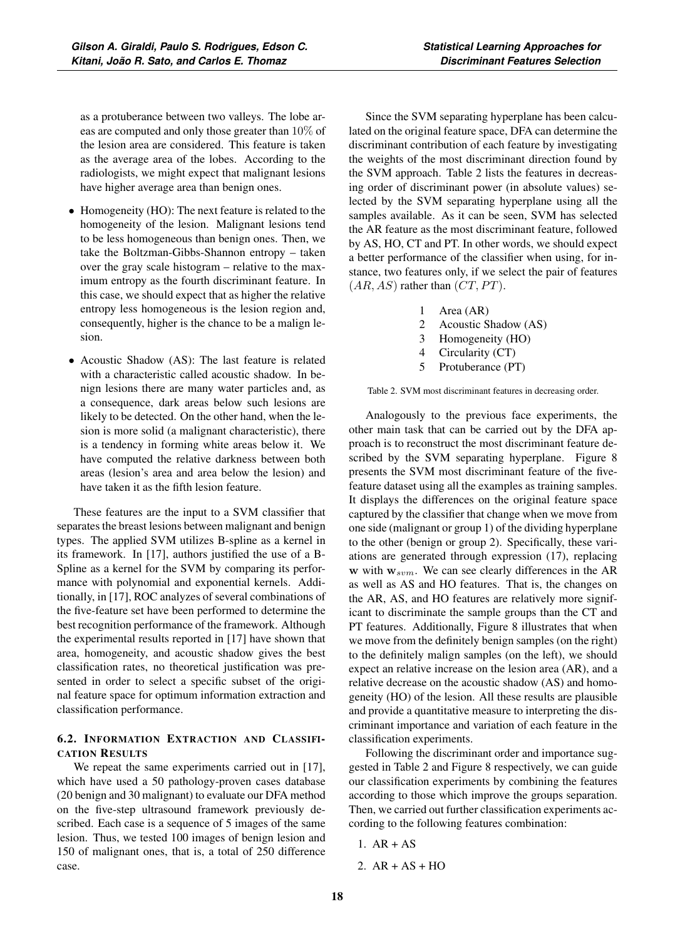• Homogeneity (HO): The next feature is related to the homogeneity of the lesion. Malignant lesions tend to be less homogeneous than benign ones. Then, we take the Boltzman-Gibbs-Shannon entropy – taken over the gray scale histogram – relative to the maximum entropy as the fourth discriminant feature. In this case, we should expect that as higher the relative entropy less homogeneous is the lesion region and, consequently, higher is the chance to be a malign lesion.

have higher average area than benign ones.

• Acoustic Shadow (AS): The last feature is related with a characteristic called acoustic shadow. In benign lesions there are many water particles and, as a consequence, dark areas below such lesions are likely to be detected. On the other hand, when the lesion is more solid (a malignant characteristic), there is a tendency in forming white areas below it. We have computed the relative darkness between both areas (lesion's area and area below the lesion) and have taken it as the fifth lesion feature.

These features are the input to a SVM classifier that separates the breast lesions between malignant and benign types. The applied SVM utilizes B-spline as a kernel in its framework. In [17], authors justified the use of a B-Spline as a kernel for the SVM by comparing its performance with polynomial and exponential kernels. Additionally, in [17], ROC analyzes of several combinations of the five-feature set have been performed to determine the best recognition performance of the framework. Although the experimental results reported in [17] have shown that area, homogeneity, and acoustic shadow gives the best classification rates, no theoretical justification was presented in order to select a specific subset of the original feature space for optimum information extraction and classification performance.

# 6.2. INFORMATION EXTRACTION AND CLASSIFI-CATION RESULTS

We repeat the same experiments carried out in [17], which have used a 50 pathology-proven cases database (20 benign and 30 malignant) to evaluate our DFA method on the five-step ultrasound framework previously described. Each case is a sequence of 5 images of the same lesion. Thus, we tested 100 images of benign lesion and 150 of malignant ones, that is, a total of 250 difference case.

Since the SVM separating hyperplane has been calculated on the original feature space, DFA can determine the discriminant contribution of each feature by investigating the weights of the most discriminant direction found by the SVM approach. Table 2 lists the features in decreasing order of discriminant power (in absolute values) selected by the SVM separating hyperplane using all the samples available. As it can be seen, SVM has selected the AR feature as the most discriminant feature, followed by AS, HO, CT and PT. In other words, we should expect a better performance of the classifier when using, for instance, two features only, if we select the pair of features  $(AR, AS)$  rather than  $(CT, PT)$ .

- 1 Area (AR)
- 2 Acoustic Shadow (AS)
- 3 Homogeneity (HO)
- 4 Circularity (CT)
- 5 Protuberance (PT)

Table 2. SVM most discriminant features in decreasing order.

Analogously to the previous face experiments, the other main task that can be carried out by the DFA approach is to reconstruct the most discriminant feature described by the SVM separating hyperplane. Figure 8 presents the SVM most discriminant feature of the fivefeature dataset using all the examples as training samples. It displays the differences on the original feature space captured by the classifier that change when we move from one side (malignant or group 1) of the dividing hyperplane to the other (benign or group 2). Specifically, these variations are generated through expression (17), replacing **w** with  $w_{sym}$ . We can see clearly differences in the AR as well as AS and HO features. That is, the changes on the AR, AS, and HO features are relatively more significant to discriminate the sample groups than the CT and PT features. Additionally, Figure 8 illustrates that when we move from the definitely benign samples (on the right) to the definitely malign samples (on the left), we should expect an relative increase on the lesion area (AR), and a relative decrease on the acoustic shadow (AS) and homogeneity (HO) of the lesion. All these results are plausible and provide a quantitative measure to interpreting the discriminant importance and variation of each feature in the classification experiments.

Following the discriminant order and importance suggested in Table 2 and Figure 8 respectively, we can guide our classification experiments by combining the features according to those which improve the groups separation. Then, we carried out further classification experiments according to the following features combination:

- 1. AR + AS
- 2.  $AR + AS + HO$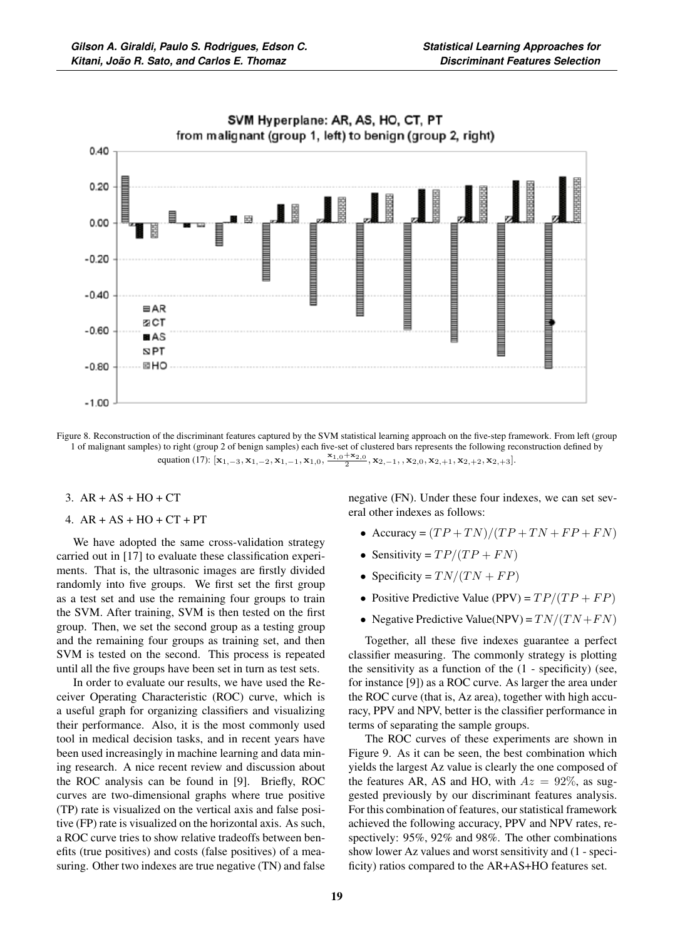

SVM Hyperplane: AR, AS, HO, CT, PT

- Figure 8. Reconstruction of the discriminant features captured by the SVM statistical learning approach on the five-step framework. From left (group 1 of malignant samples) to right (group 2 of benign samples) each five-set of clustered bars represents the following reconstruction defined by equation (17):  $[\mathbf{x}_{1,-3}, \mathbf{x}_{1,-2}, \mathbf{x}_{1,-1}, \mathbf{x}_{1,0}, \frac{\mathbf{x}_{1,0} + \mathbf{x}_{2,0}}{2}, \mathbf{x}_{2,-1}, \mathbf{x}_{2,0}, \mathbf{x}_{2,+1}, \mathbf{x}_{2,+2}, \mathbf{x}_{2,+3}].$
- 3.  $AR + AS + HO + CT$
- 4.  $AR + AS + HO + CT + PT$

We have adopted the same cross-validation strategy carried out in [17] to evaluate these classification experiments. That is, the ultrasonic images are firstly divided randomly into five groups. We first set the first group as a test set and use the remaining four groups to train the SVM. After training, SVM is then tested on the first group. Then, we set the second group as a testing group and the remaining four groups as training set, and then SVM is tested on the second. This process is repeated until all the five groups have been set in turn as test sets.

In order to evaluate our results, we have used the Receiver Operating Characteristic (ROC) curve, which is a useful graph for organizing classifiers and visualizing their performance. Also, it is the most commonly used tool in medical decision tasks, and in recent years have been used increasingly in machine learning and data mining research. A nice recent review and discussion about the ROC analysis can be found in [9]. Briefly, ROC curves are two-dimensional graphs where true positive (TP) rate is visualized on the vertical axis and false positive (FP) rate is visualized on the horizontal axis. As such, a ROC curve tries to show relative tradeoffs between benefits (true positives) and costs (false positives) of a measuring. Other two indexes are true negative (TN) and false negative (FN). Under these four indexes, we can set several other indexes as follows:

- Accuracy =  $(TP + TN)/(TP + TN + FP + FN)$
- Sensitivity =  $TP/(TP + FN)$
- Specificity =  $TN/(TN + FP)$
- Positive Predictive Value (PPV) =  $TP/(TP + FP)$
- Negative Predictive Value(NPV) =  $TN/(TN + FN)$

Together, all these five indexes guarantee a perfect classifier measuring. The commonly strategy is plotting the sensitivity as a function of the (1 - specificity) (see, for instance [9]) as a ROC curve. As larger the area under the ROC curve (that is, Az area), together with high accuracy, PPV and NPV, better is the classifier performance in terms of separating the sample groups.

The ROC curves of these experiments are shown in Figure 9. As it can be seen, the best combination which yields the largest Az value is clearly the one composed of the features AR, AS and HO, with  $Az = 92\%$ , as suggested previously by our discriminant features analysis. For this combination of features, our statistical framework achieved the following accuracy, PPV and NPV rates, respectively: 95%, 92% and 98%. The other combinations show lower Az values and worst sensitivity and (1 - specificity) ratios compared to the AR+AS+HO features set.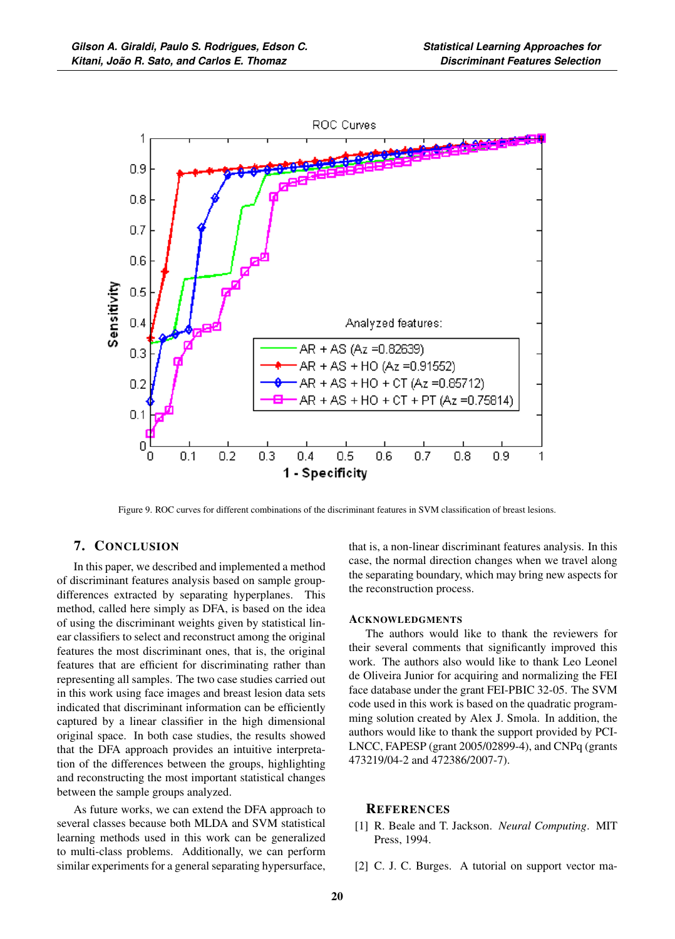

Figure 9. ROC curves for different combinations of the discriminant features in SVM classification of breast lesions.

# 7. CONCLUSION

In this paper, we described and implemented a method of discriminant features analysis based on sample groupdifferences extracted by separating hyperplanes. This method, called here simply as DFA, is based on the idea of using the discriminant weights given by statistical linear classifiers to select and reconstruct among the original features the most discriminant ones, that is, the original features that are efficient for discriminating rather than representing all samples. The two case studies carried out in this work using face images and breast lesion data sets indicated that discriminant information can be efficiently captured by a linear classifier in the high dimensional original space. In both case studies, the results showed that the DFA approach provides an intuitive interpretation of the differences between the groups, highlighting and reconstructing the most important statistical changes between the sample groups analyzed.

As future works, we can extend the DFA approach to several classes because both MLDA and SVM statistical learning methods used in this work can be generalized to multi-class problems. Additionally, we can perform similar experiments for a general separating hypersurface, that is, a non-linear discriminant features analysis. In this case, the normal direction changes when we travel along the separating boundary, which may bring new aspects for the reconstruction process.

#### **ACKNOWLEDGMENTS**

The authors would like to thank the reviewers for their several comments that significantly improved this work. The authors also would like to thank Leo Leonel de Oliveira Junior for acquiring and normalizing the FEI face database under the grant FEI-PBIC 32-05. The SVM code used in this work is based on the quadratic programming solution created by Alex J. Smola. In addition, the authors would like to thank the support provided by PCI-LNCC, FAPESP (grant 2005/02899-4), and CNPq (grants 473219/04-2 and 472386/2007-7).

#### **REFERENCES**

- [1] R. Beale and T. Jackson. *Neural Computing*. MIT Press, 1994.
- [2] C. J. C. Burges. A tutorial on support vector ma-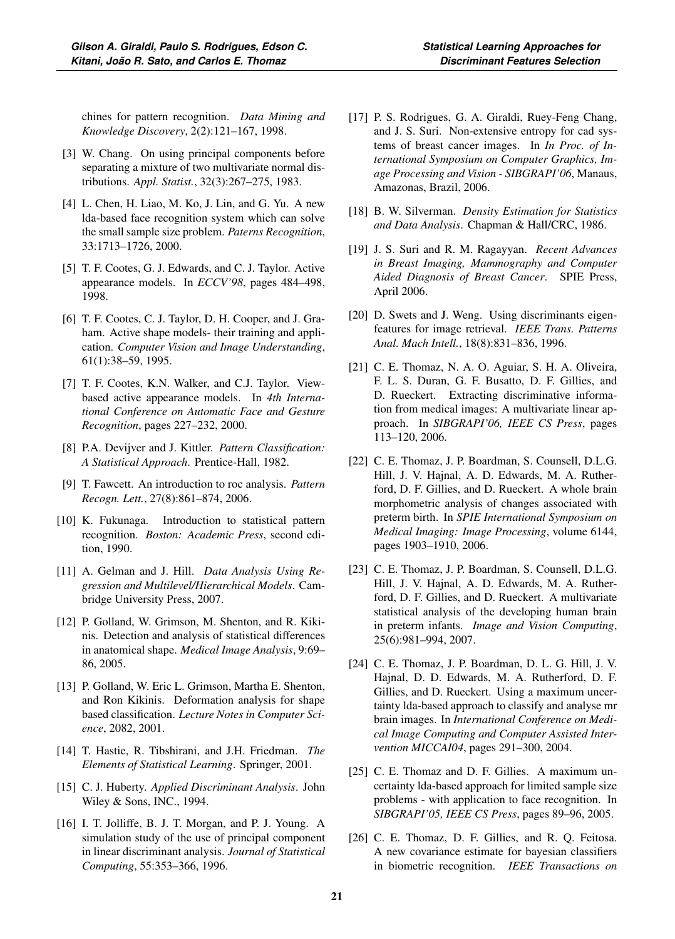chines for pattern recognition. *Data Mining and Knowledge Discovery*, 2(2):121–167, 1998.

- [3] W. Chang. On using principal components before separating a mixture of two multivariate normal distributions. *Appl. Statist.*, 32(3):267–275, 1983.
- [4] L. Chen, H. Liao, M. Ko, J. Lin, and G. Yu. A new lda-based face recognition system which can solve the small sample size problem. *Paterns Recognition*, 33:1713–1726, 2000.
- [5] T. F. Cootes, G. J. Edwards, and C. J. Taylor. Active appearance models. In *ECCV'98*, pages 484–498, 1998.
- [6] T. F. Cootes, C. J. Taylor, D. H. Cooper, and J. Graham. Active shape models- their training and application. *Computer Vision and Image Understanding*, 61(1):38–59, 1995.
- [7] T. F. Cootes, K.N. Walker, and C.J. Taylor. Viewbased active appearance models. In *4th International Conference on Automatic Face and Gesture Recognition*, pages 227–232, 2000.
- [8] P.A. Devijver and J. Kittler. *Pattern Classification: A Statistical Approach*. Prentice-Hall, 1982.
- [9] T. Fawcett. An introduction to roc analysis. *Pattern Recogn. Lett.*, 27(8):861–874, 2006.
- [10] K. Fukunaga. Introduction to statistical pattern recognition. *Boston: Academic Press*, second edition, 1990.
- [11] A. Gelman and J. Hill. *Data Analysis Using Regression and Multilevel/Hierarchical Models*. Cambridge University Press, 2007.
- [12] P. Golland, W. Grimson, M. Shenton, and R. Kikinis. Detection and analysis of statistical differences in anatomical shape. *Medical Image Analysis*, 9:69– 86, 2005.
- [13] P. Golland, W. Eric L. Grimson, Martha E. Shenton, and Ron Kikinis. Deformation analysis for shape based classification. *Lecture Notes in Computer Science*, 2082, 2001.
- [14] T. Hastie, R. Tibshirani, and J.H. Friedman. *The Elements of Statistical Learning*. Springer, 2001.
- [15] C. J. Huberty. *Applied Discriminant Analysis*. John Wiley & Sons, INC., 1994.
- [16] I. T. Jolliffe, B. J. T. Morgan, and P. J. Young. A simulation study of the use of principal component in linear discriminant analysis. *Journal of Statistical Computing*, 55:353–366, 1996.
- [17] P. S. Rodrigues, G. A. Giraldi, Ruey-Feng Chang, and J. S. Suri. Non-extensive entropy for cad systems of breast cancer images. In *In Proc. of International Symposium on Computer Graphics, Image Processing and Vision - SIBGRAPI'06*, Manaus, Amazonas, Brazil, 2006.
- [18] B. W. Silverman. *Density Estimation for Statistics and Data Analysis*. Chapman & Hall/CRC, 1986.
- [19] J. S. Suri and R. M. Ragayyan. *Recent Advances in Breast Imaging, Mammography and Computer Aided Diagnosis of Breast Cancer*. SPIE Press, April 2006.
- [20] D. Swets and J. Weng. Using discriminants eigenfeatures for image retrieval. *IEEE Trans. Patterns Anal. Mach Intell.*, 18(8):831–836, 1996.
- [21] C. E. Thomaz, N. A. O. Aguiar, S. H. A. Oliveira, F. L. S. Duran, G. F. Busatto, D. F. Gillies, and D. Rueckert. Extracting discriminative information from medical images: A multivariate linear approach. In *SIBGRAPI'06, IEEE CS Press*, pages 113–120, 2006.
- [22] C. E. Thomaz, J. P. Boardman, S. Counsell, D.L.G. Hill, J. V. Hajnal, A. D. Edwards, M. A. Rutherford, D. F. Gillies, and D. Rueckert. A whole brain morphometric analysis of changes associated with preterm birth. In *SPIE International Symposium on Medical Imaging: Image Processing*, volume 6144, pages 1903–1910, 2006.
- [23] C. E. Thomaz, J. P. Boardman, S. Counsell, D.L.G. Hill, J. V. Hajnal, A. D. Edwards, M. A. Rutherford, D. F. Gillies, and D. Rueckert. A multivariate statistical analysis of the developing human brain in preterm infants. *Image and Vision Computing*, 25(6):981–994, 2007.
- [24] C. E. Thomaz, J. P. Boardman, D. L. G. Hill, J. V. Hajnal, D. D. Edwards, M. A. Rutherford, D. F. Gillies, and D. Rueckert. Using a maximum uncertainty lda-based approach to classify and analyse mr brain images. In *International Conference on Medical Image Computing and Computer Assisted Intervention MICCAI04*, pages 291–300, 2004.
- [25] C. E. Thomaz and D. F. Gillies. A maximum uncertainty lda-based approach for limited sample size problems - with application to face recognition. In *SIBGRAPI'05, IEEE CS Press*, pages 89–96, 2005.
- [26] C. E. Thomaz, D. F. Gillies, and R. Q. Feitosa. A new covariance estimate for bayesian classifiers in biometric recognition. *IEEE Transactions on*